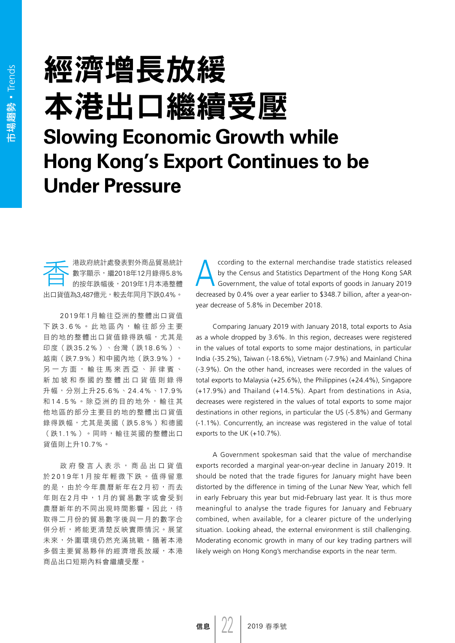## 經濟增長放緩 本港出口繼續受壓 **Slowing Economic Growth while Hong Kong's Export Continues to be Under Pressure**

**卡卡卡**港政府統計處發表對外商品貿易統計<br>■數字顯示,繼2018年12月錄得5.8%<br>■的按年跌幅後,2019年1月本港整體 數字顯示,繼2018年12月錄得5.8% 的按年跌幅後,2019年1月本港整體 出口貨值為3,487億元,較去年同月下跌0.4%。

2019年1月輸往亞洲的整體出口貨值 下跌3.6%。此地區內,輸往部分主要 目的地的整體出口貨值錄得跌幅,尤其是 印度(跌35.2%)、台灣(跌18.6%)、 越南(跌7.9%)和中國內地(跌3.9%)。 另一方面,輸往馬來西亞、菲律賓、 新加坡 和泰國的整體出口貨值則錄得 升幅,分別上升25.6%、24.4%、17.9% 和14.5%。除亞洲的目的地外,輸往其 他地區的部分主要目的地的整體出口貨值 錄得跌幅,尤其是美國(跌5.8%)和德國 (跌1.1%)。同時,輸往英國的整體出口 貨值則上升10.7%。

政府發言人表示,商品出口貨值 於 2019 年 1 月按年輕微下跌。值得留意 的是,由於今年農曆新年在2月初,而去 年則在 2 月 中 , 1 月的貿易數字或會受到 農曆新年的不同出現時間影響。因此,待 取得二月份的貿易數字後與一月的數字合 併分析,將能更清楚反映實際情況。展望 未來,外圍環境仍然充滿挑戰。隨著本港 多個主要貿易夥伴的經濟增長放緩,本港 商品出口短期內料會繼續受壓。

ccording to the external merchandise trade statistics released<br>by the Census and Statistics Department of the Hong Kong SAR<br>Government, the value of total exports of goods in January 2019 by the Census and Statistics Department of the Hong Kong SAR decreased by 0.4% over a year earlier to \$348.7 billion, after a year-onyear decrease of 5.8% in December 2018.

Comparing January 2019 with January 2018, total exports to Asia as a whole dropped by 3.6%. In this region, decreases were registered in the values of total exports to some major destinations, in particular India (-35.2%), Taiwan (-18.6%), Vietnam (-7.9%) and Mainland China (-3.9%). On the other hand, increases were recorded in the values of total exports to Malaysia (+25.6%), the Philippines (+24.4%), Singapore (+17.9%) and Thailand (+14.5%). Apart from destinations in Asia, decreases were registered in the values of total exports to some major destinations in other regions, in particular the US (-5.8%) and Germany (-1.1%). Concurrently, an increase was registered in the value of total exports to the UK (+10.7%).

A Government spokesman said that the value of merchandise exports recorded a marginal year-on-year decline in January 2019. It should be noted that the trade figures for January might have been distorted by the difference in timing of the Lunar New Year, which fell in early February this year but mid-February last year. It is thus more meaningful to analyse the trade figures for January and February combined, when available, for a clearer picture of the underlying situation. Looking ahead, the external environment is still challenging. Moderating economic growth in many of our key trading partners will likely weigh on Hong Kong's merchandise exports in the near term.